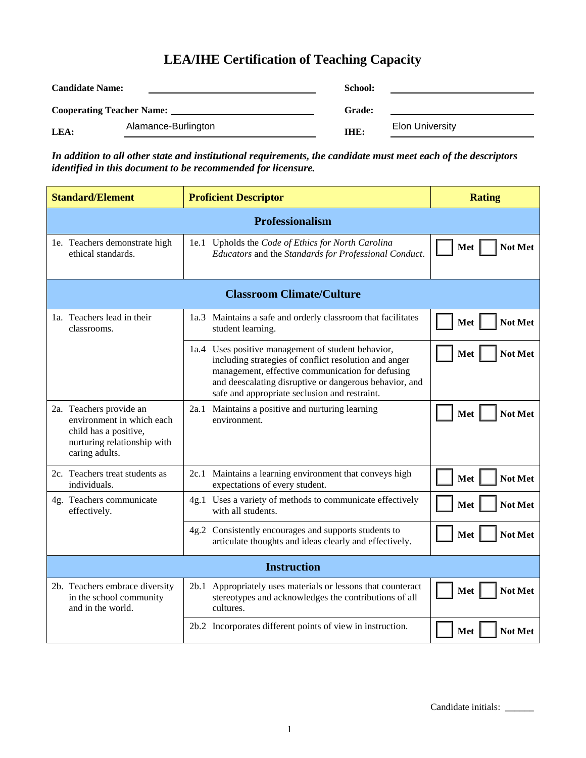## **LEA/IHE Certification of Teaching Capacity**

| <b>Candidate Name:</b>           |                     | School:       |                        |
|----------------------------------|---------------------|---------------|------------------------|
| <b>Cooperating Teacher Name:</b> |                     | <b>Grade:</b> |                        |
| LEA:                             | Alamance-Burlington | IHE:          | <b>Elon University</b> |

*In addition to all other state and institutional requirements, the candidate must meet each of the descriptors identified in this document to be recommended for licensure.*

| <b>Standard/Element</b>                                                                                                        | <b>Proficient Descriptor</b>                                                                                                                                                                                                                                               | <b>Rating</b>  |  |  |  |  |
|--------------------------------------------------------------------------------------------------------------------------------|----------------------------------------------------------------------------------------------------------------------------------------------------------------------------------------------------------------------------------------------------------------------------|----------------|--|--|--|--|
| Professionalism                                                                                                                |                                                                                                                                                                                                                                                                            |                |  |  |  |  |
| 1e. Teachers demonstrate high<br>ethical standards.                                                                            | 1e.1 Upholds the Code of Ethics for North Carolina<br>Educators and the Standards for Professional Conduct.                                                                                                                                                                | Met<br>Not Met |  |  |  |  |
| <b>Classroom Climate/Culture</b>                                                                                               |                                                                                                                                                                                                                                                                            |                |  |  |  |  |
| 1a. Teachers lead in their<br>classrooms.                                                                                      | 1a.3 Maintains a safe and orderly classroom that facilitates<br>student learning.                                                                                                                                                                                          | Met<br>Not Met |  |  |  |  |
|                                                                                                                                | 1a.4 Uses positive management of student behavior,<br>including strategies of conflict resolution and anger<br>management, effective communication for defusing<br>and deescalating disruptive or dangerous behavior, and<br>safe and appropriate seclusion and restraint. | Not Met<br>Met |  |  |  |  |
| 2a. Teachers provide an<br>environment in which each<br>child has a positive,<br>nurturing relationship with<br>caring adults. | 2a.1 Maintains a positive and nurturing learning<br>environment.                                                                                                                                                                                                           | Met<br>Not Met |  |  |  |  |
| 2c. Teachers treat students as<br>individuals.                                                                                 | 2c.1 Maintains a learning environment that conveys high<br>expectations of every student.                                                                                                                                                                                  | Met<br>Not Met |  |  |  |  |
| 4g. Teachers communicate<br>effectively.                                                                                       | 4g.1 Uses a variety of methods to communicate effectively<br>with all students.                                                                                                                                                                                            | Met<br>Not Met |  |  |  |  |
|                                                                                                                                | 4g.2 Consistently encourages and supports students to<br>articulate thoughts and ideas clearly and effectively.                                                                                                                                                            | Met<br>Not Met |  |  |  |  |
| <b>Instruction</b>                                                                                                             |                                                                                                                                                                                                                                                                            |                |  |  |  |  |
| 2b. Teachers embrace diversity<br>in the school community<br>and in the world.                                                 | 2b.1 Appropriately uses materials or lessons that counteract<br>stereotypes and acknowledges the contributions of all<br>cultures.                                                                                                                                         | Not Met<br>Met |  |  |  |  |
|                                                                                                                                | 2b.2 Incorporates different points of view in instruction.                                                                                                                                                                                                                 | Met<br>Not Met |  |  |  |  |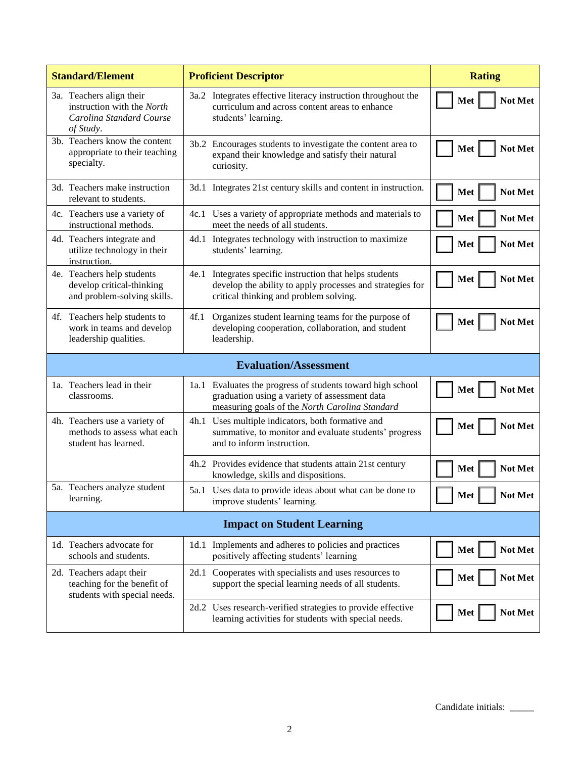| <b>Standard/Element</b>                                                                         | <b>Proficient Descriptor</b>                                                                                                                                    | <b>Rating</b>         |  |  |  |  |
|-------------------------------------------------------------------------------------------------|-----------------------------------------------------------------------------------------------------------------------------------------------------------------|-----------------------|--|--|--|--|
| 3a. Teachers align their<br>instruction with the North<br>Carolina Standard Course<br>of Study. | 3a.2 Integrates effective literacy instruction throughout the<br>curriculum and across content areas to enhance<br>students' learning.                          | Not Met<br>Met        |  |  |  |  |
| 3b. Teachers know the content<br>appropriate to their teaching<br>specialty.                    | 3b.2 Encourages students to investigate the content area to<br>expand their knowledge and satisfy their natural<br>curiosity.                                   | Met<br>Not Met        |  |  |  |  |
| 3d. Teachers make instruction<br>relevant to students.                                          | 3d.1 Integrates 21st century skills and content in instruction.                                                                                                 | Met<br>Not Met        |  |  |  |  |
| 4c. Teachers use a variety of<br>instructional methods.                                         | 4c.1 Uses a variety of appropriate methods and materials to<br>meet the needs of all students.                                                                  | Met<br>Not Met        |  |  |  |  |
| 4d. Teachers integrate and<br>utilize technology in their<br>instruction.                       | 4d.1 Integrates technology with instruction to maximize<br>students' learning.                                                                                  | Met<br>Not Met        |  |  |  |  |
| 4e. Teachers help students<br>develop critical-thinking<br>and problem-solving skills.          | 4e.1 Integrates specific instruction that helps students<br>develop the ability to apply processes and strategies for<br>critical thinking and problem solving. | Met<br>Not Met        |  |  |  |  |
| 4f. Teachers help students to<br>work in teams and develop<br>leadership qualities.             | Organizes student learning teams for the purpose of<br>4f.1<br>developing cooperation, collaboration, and student<br>leadership.                                | Met<br>Not Met        |  |  |  |  |
| <b>Evaluation/Assessment</b>                                                                    |                                                                                                                                                                 |                       |  |  |  |  |
| 1a. Teachers lead in their<br>classrooms.                                                       | 1a.1 Evaluates the progress of students toward high school<br>graduation using a variety of assessment data<br>measuring goals of the North Carolina Standard   | Met<br>Not Met        |  |  |  |  |
| 4h. Teachers use a variety of<br>methods to assess what each<br>student has learned.            | 4h.1 Uses multiple indicators, both formative and<br>summative, to monitor and evaluate students' progress<br>and to inform instruction.                        | Met<br>Not Met        |  |  |  |  |
|                                                                                                 | 4h.2 Provides evidence that students attain 21st century<br>knowledge, skills and dispositions.                                                                 | Not Met<br>Met        |  |  |  |  |
| 5a. Teachers analyze student<br>learning.                                                       | 5a.1 Uses data to provide ideas about what can be done to<br>improve students' learning.                                                                        | Met<br><b>Not Met</b> |  |  |  |  |
| <b>Impact on Student Learning</b>                                                               |                                                                                                                                                                 |                       |  |  |  |  |
| 1d. Teachers advocate for<br>schools and students.                                              | 1d.1 Implements and adheres to policies and practices<br>positively affecting students' learning                                                                | Met<br>Not Met        |  |  |  |  |
| 2d. Teachers adapt their<br>teaching for the benefit of<br>students with special needs.         | 2d.1 Cooperates with specialists and uses resources to<br>support the special learning needs of all students.                                                   | Met<br>Not Met        |  |  |  |  |
|                                                                                                 | 2d.2 Uses research-verified strategies to provide effective<br>learning activities for students with special needs.                                             | Met<br>Not Met        |  |  |  |  |